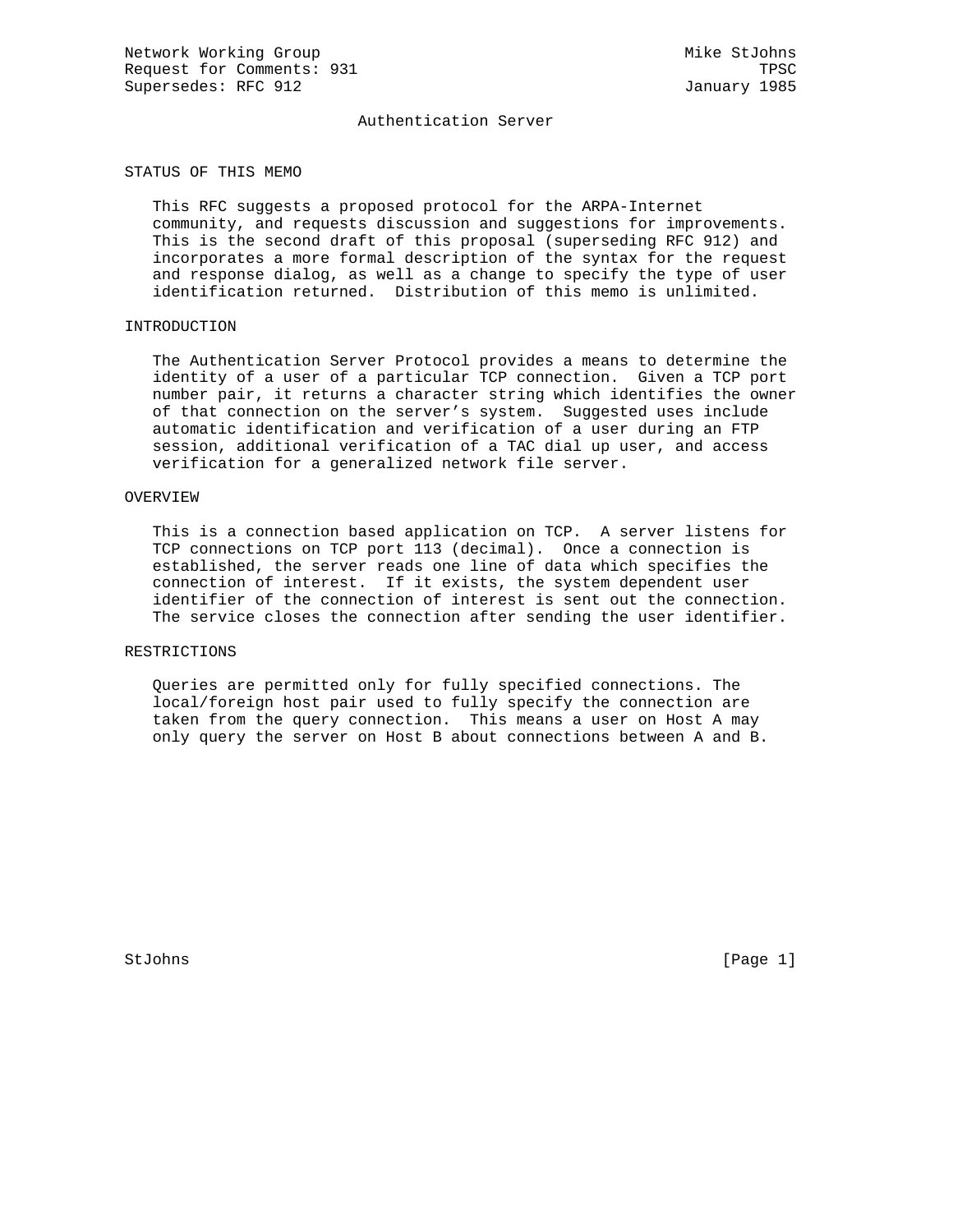Network Working Group Mike StJohns Request for Comments: 931 TPSC Supersedes: RFC 912 January 1985

## Authentication Server

### STATUS OF THIS MEMO

 This RFC suggests a proposed protocol for the ARPA-Internet community, and requests discussion and suggestions for improvements. This is the second draft of this proposal (superseding RFC 912) and incorporates a more formal description of the syntax for the request and response dialog, as well as a change to specify the type of user identification returned. Distribution of this memo is unlimited.

## INTRODUCTION

 The Authentication Server Protocol provides a means to determine the identity of a user of a particular TCP connection. Given a TCP port number pair, it returns a character string which identifies the owner of that connection on the server's system. Suggested uses include automatic identification and verification of a user during an FTP session, additional verification of a TAC dial up user, and access verification for a generalized network file server.

## OVERVIEW

 This is a connection based application on TCP. A server listens for TCP connections on TCP port 113 (decimal). Once a connection is established, the server reads one line of data which specifies the connection of interest. If it exists, the system dependent user identifier of the connection of interest is sent out the connection. The service closes the connection after sending the user identifier.

## RESTRICTIONS

 Queries are permitted only for fully specified connections. The local/foreign host pair used to fully specify the connection are taken from the query connection. This means a user on Host A may only query the server on Host B about connections between A and B.

StJohns [Page 1]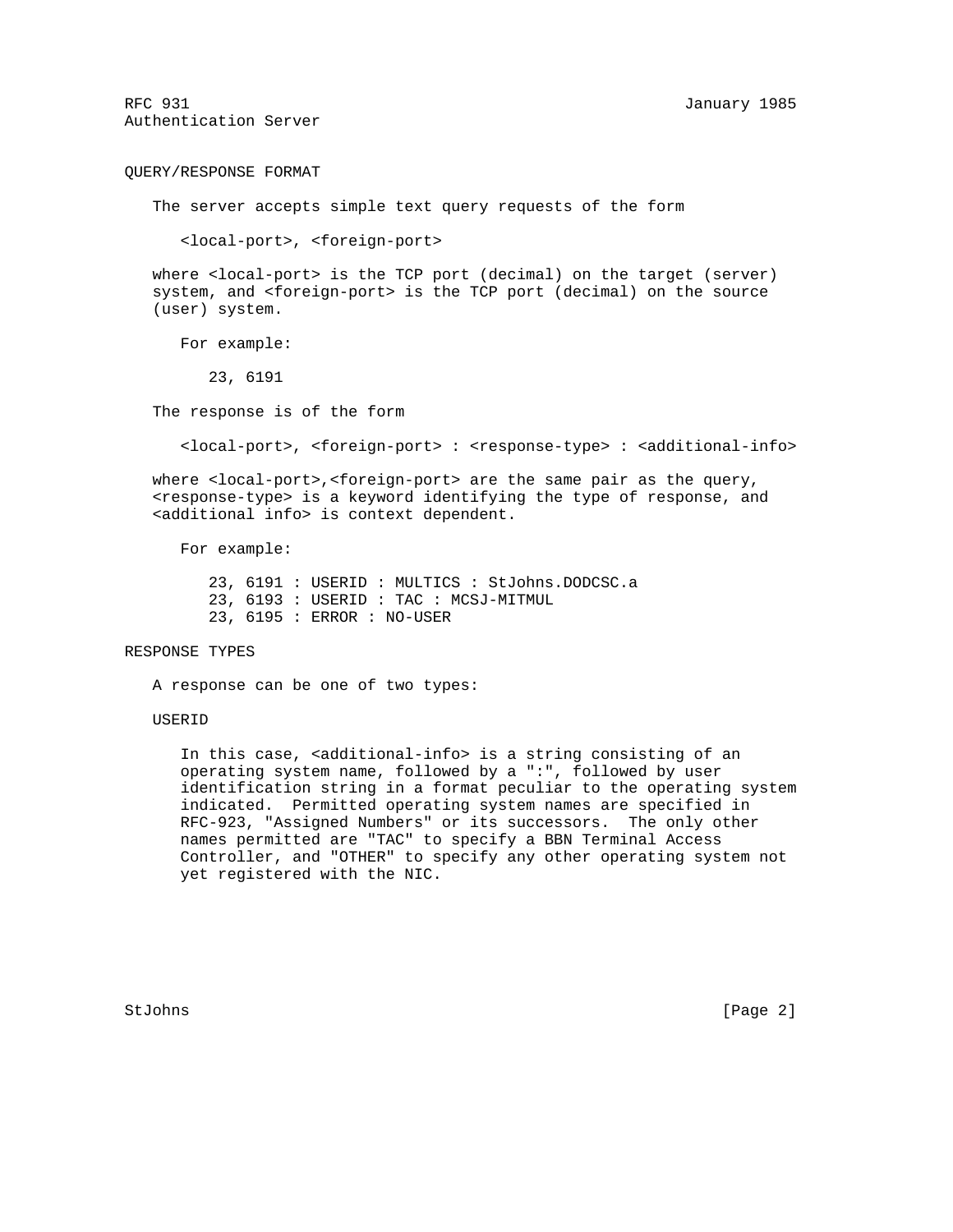RFC 931 January 1985 Authentication Server

QUERY/RESPONSE FORMAT

The server accepts simple text query requests of the form

<local-port>, <foreign-port>

where <local-port> is the TCP port (decimal) on the target (server) system, and <foreign-port> is the TCP port (decimal) on the source (user) system.

For example:

23, 6191

The response is of the form

<local-port>, <foreign-port> : <response-type> : <additional-info>

 where <local-port>,<foreign-port> are the same pair as the query, <response-type> is a keyword identifying the type of response, and <additional info> is context dependent.

For example:

 23, 6191 : USERID : MULTICS : StJohns.DODCSC.a 23, 6193 : USERID : TAC : MCSJ-MITMUL 23, 6195 : ERROR : NO-USER

### RESPONSE TYPES

A response can be one of two types:

#### USERID

 In this case, <additional-info> is a string consisting of an operating system name, followed by a ":", followed by user identification string in a format peculiar to the operating system indicated. Permitted operating system names are specified in RFC-923, "Assigned Numbers" or its successors. The only other names permitted are "TAC" to specify a BBN Terminal Access Controller, and "OTHER" to specify any other operating system not yet registered with the NIC.

StJohns [Page 2]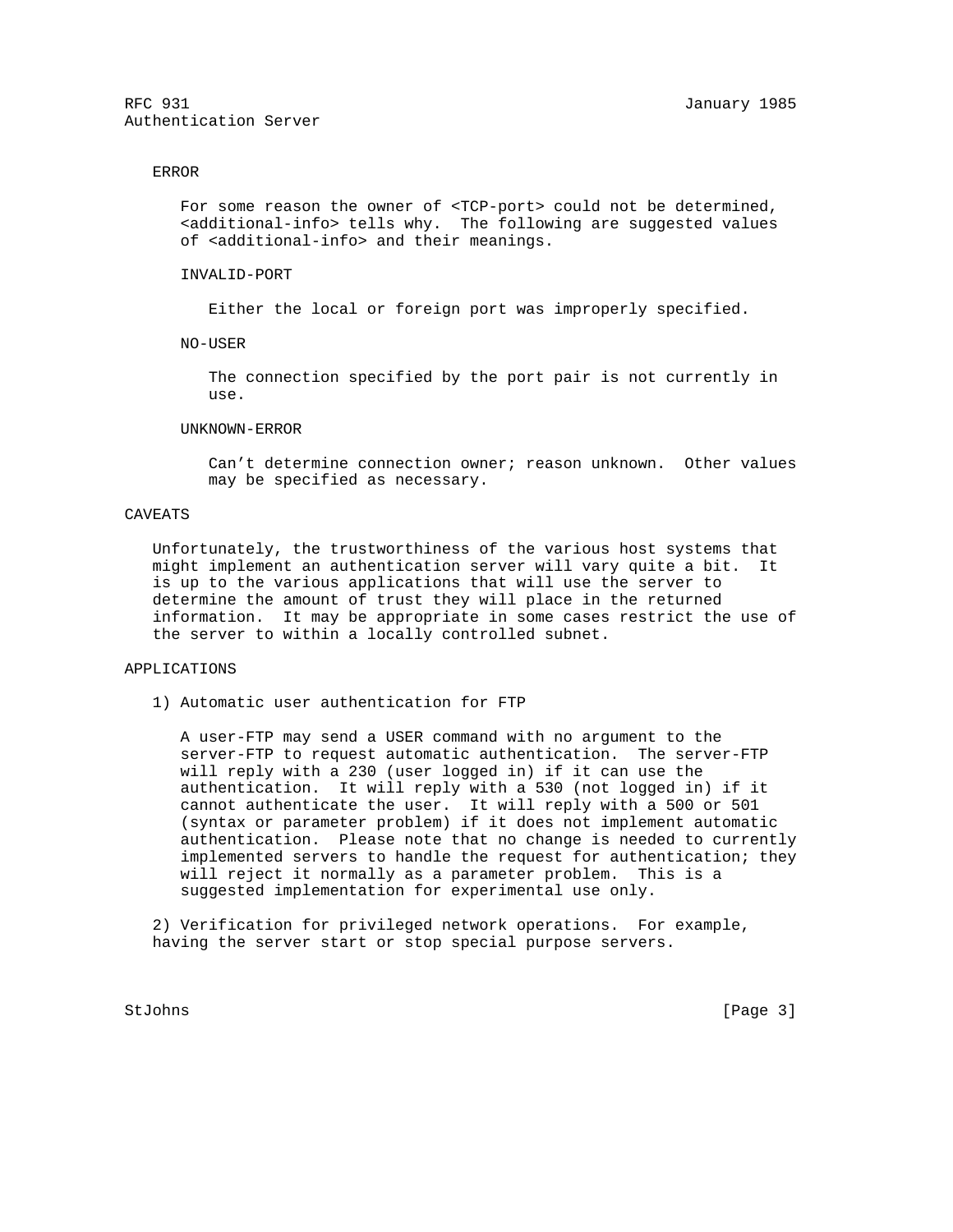RFC 931 January 1985 Authentication Server

### ERROR

For some reason the owner of <TCP-port> could not be determined, <additional-info> tells why. The following are suggested values of <additional-info> and their meanings.

INVALID-PORT

Either the local or foreign port was improperly specified.

NO-USER

 The connection specified by the port pair is not currently in use.

## UNKNOWN-ERROR

 Can't determine connection owner; reason unknown. Other values may be specified as necessary.

## CAVEATS

 Unfortunately, the trustworthiness of the various host systems that might implement an authentication server will vary quite a bit. It is up to the various applications that will use the server to determine the amount of trust they will place in the returned information. It may be appropriate in some cases restrict the use of the server to within a locally controlled subnet.

# APPLICATIONS

1) Automatic user authentication for FTP

 A user-FTP may send a USER command with no argument to the server-FTP to request automatic authentication. The server-FTP will reply with a 230 (user logged in) if it can use the authentication. It will reply with a 530 (not logged in) if it cannot authenticate the user. It will reply with a 500 or 501 (syntax or parameter problem) if it does not implement automatic authentication. Please note that no change is needed to currently implemented servers to handle the request for authentication; they will reject it normally as a parameter problem. This is a suggested implementation for experimental use only.

 2) Verification for privileged network operations. For example, having the server start or stop special purpose servers.

StJohns [Page 3]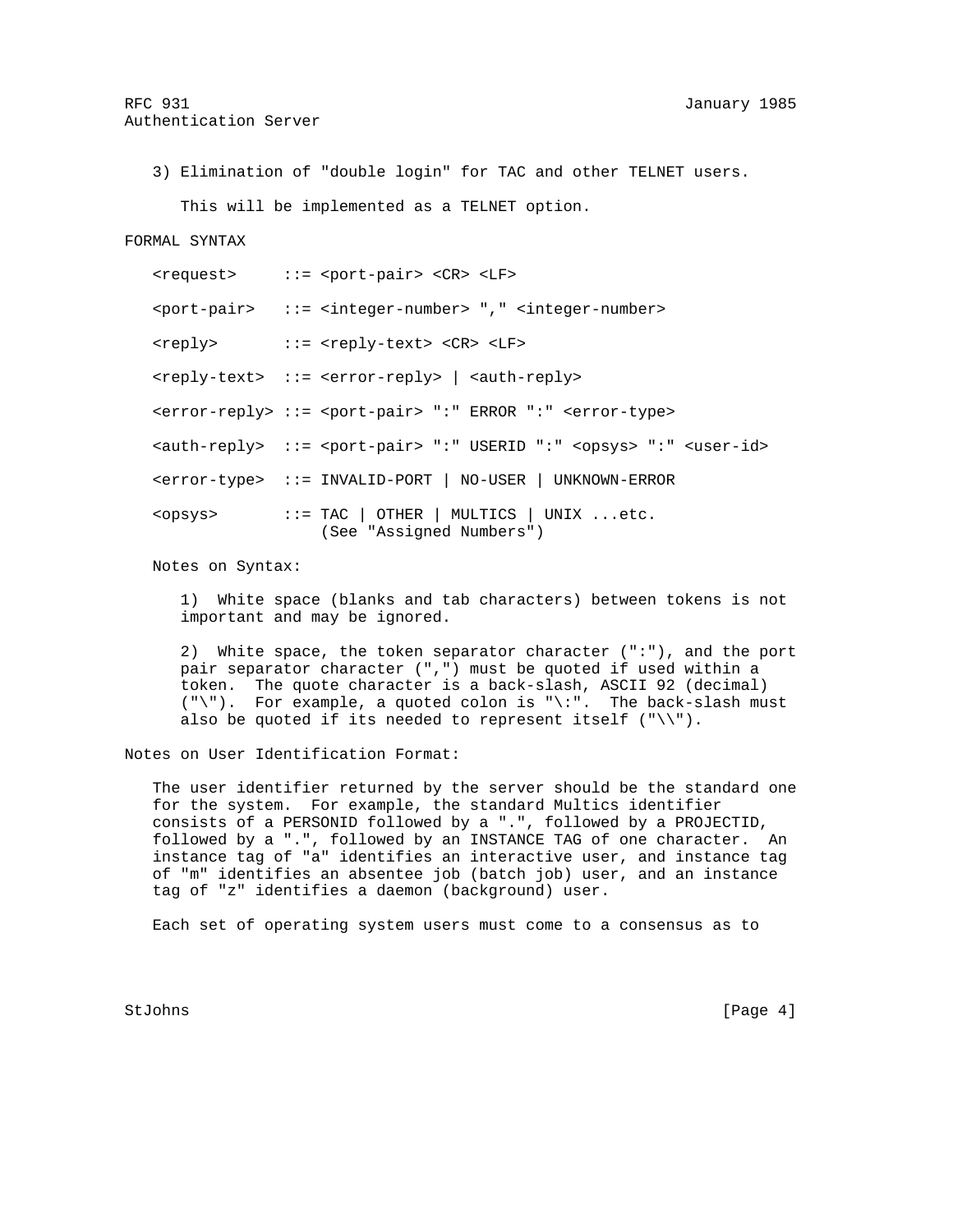3) Elimination of "double login" for TAC and other TELNET users.

This will be implemented as a TELNET option.

# FORMAL SYNTAX

|                 | $<$ request> ::= $<$ port-pair> $<$ CR> $<$ LF>                                                              |
|-----------------|--------------------------------------------------------------------------------------------------------------|
|                 | <port-pair> ::= <integer-number> "," <integer-number></integer-number></integer-number></port-pair>          |
|                 | <reply> ::= <reply-text> <cr> <lf></lf></cr></reply-text></reply>                                            |
|                 | <reply-text> ::= <error-reply>   <auth-reply></auth-reply></error-reply></reply-text>                        |
|                 | <error-reply> ::= <port-pair> ":" ERROR ":" <error-type></error-type></port-pair></error-reply>              |
|                 | <auth-reply> ::= <port-pair> ":" USERID ":" <opsys> ":" <user-id></user-id></opsys></port-pair></auth-reply> |
|                 | <error-type> ::= INVALID-PORT   NO-USER   UNKNOWN-ERROR</error-type>                                         |
| <opsys></opsys> | $::=$ TAC   OTHER   MULTICS   UNIX etc.<br>(See "Assigned Numbers")                                          |

Notes on Syntax:

 1) White space (blanks and tab characters) between tokens is not important and may be ignored.

 2) White space, the token separator character (":"), and the port pair separator character (",") must be quoted if used within a token. The quote character is a back-slash, ASCII 92 (decimal) ("\"). For example, a quoted colon is "\:". The back-slash must also be quoted if its needed to represent itself  $(\sqrt{''}, \sqrt{''})$ .

Notes on User Identification Format:

 The user identifier returned by the server should be the standard one for the system. For example, the standard Multics identifier consists of a PERSONID followed by a ".", followed by a PROJECTID, followed by a ".", followed by an INSTANCE TAG of one character. An instance tag of "a" identifies an interactive user, and instance tag of "m" identifies an absentee job (batch job) user, and an instance tag of "z" identifies a daemon (background) user.

Each set of operating system users must come to a consensus as to

StJohns [Page 4]